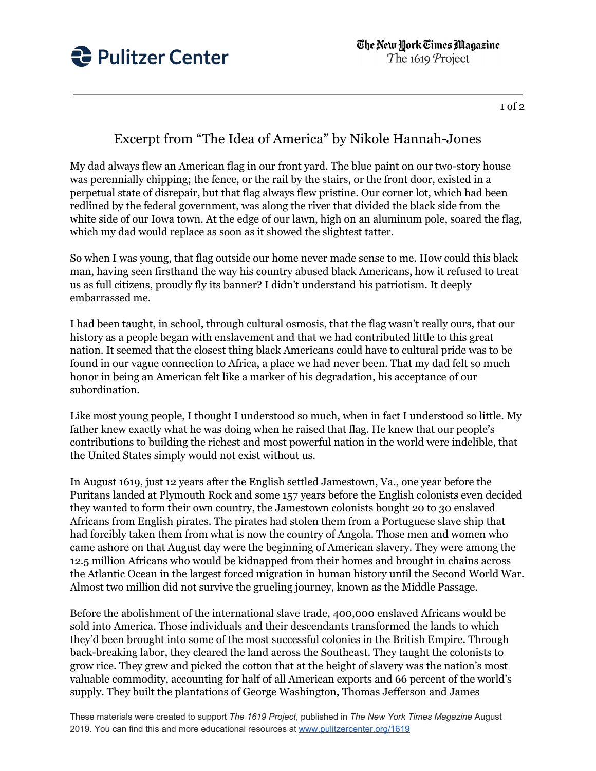

1 of 2

## Excerpt from "The Idea of America" by Nikole Hannah-Jones

My dad always flew an American flag in our front yard. The blue paint on our two-story house was perennially chipping; the fence, or the rail by the stairs, or the front door, existed in a perpetual state of disrepair, but that flag always flew pristine. Our corner lot, which had been redlined by the federal government, was along the river that divided the black side from the white side of our Iowa town. At the edge of our lawn, high on an aluminum pole, soared the flag, which my dad would replace as soon as it showed the slightest tatter.

So when I was young, that flag outside our home never made sense to me. How could this black man, having seen firsthand the way his country abused black Americans, how it refused to treat us as full citizens, proudly fly its banner? I didn't understand his patriotism. It deeply embarrassed me.

I had been taught, in school, through cultural osmosis, that the flag wasn't really ours, that our history as a people began with enslavement and that we had contributed little to this great nation. It seemed that the closest thing black Americans could have to cultural pride was to be found in our vague connection to Africa, a place we had never been. That my dad felt so much honor in being an American felt like a marker of his degradation, his acceptance of our subordination.

Like most young people, I thought I understood so much, when in fact I understood so little. My father knew exactly what he was doing when he raised that flag. He knew that our people's contributions to building the richest and most powerful nation in the world were indelible, that the United States simply would not exist without us.

In August 1619, just 12 years after the English settled Jamestown, Va., one year before the Puritans landed at Plymouth Rock and some 157 years before the English colonists even decided they wanted to form their own country, the Jamestown colonists bought 20 to 30 enslaved Africans from English pirates. The pirates had stolen them from a Portuguese slave ship that had forcibly taken them from what is now the country of Angola. Those men and women who came ashore on that August day were the beginning of American slavery. They were among the 12.5 million Africans who would be kidnapped from their homes and brought in chains across the Atlantic Ocean in the largest forced migration in human history until the Second World War. Almost two million did not survive the grueling journey, known as the Middle Passage.

Before the abolishment of the international slave trade, 400,000 enslaved Africans would be sold into America. Those individuals and their descendants transformed the lands to which they'd been brought into some of the most successful colonies in the British Empire. Through back-breaking labor, they cleared the land across the Southeast. They taught the colonists to grow rice. They grew and picked the cotton that at the height of slavery was the nation's most valuable commodity, accounting for half of all American exports and 66 percent of the world's supply. They built the plantations of George Washington, Thomas Jefferson and James